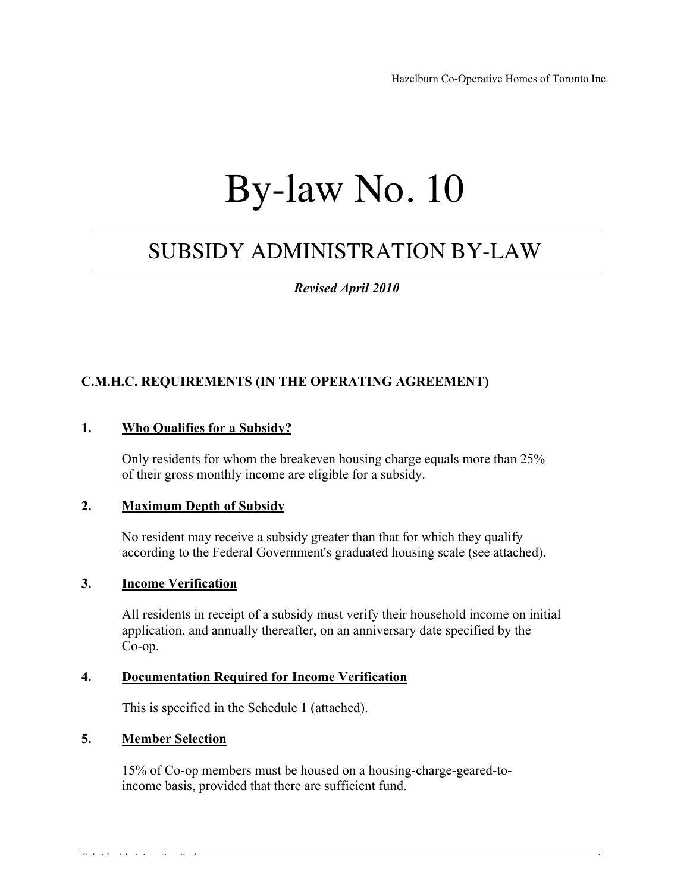Hazelburn Co-Operative Homes of Toronto Inc.

# By-law No. 10

## SUBSIDY ADMINISTRATION BY-LAW

 *Revised April 2010*

### **C.M.H.C. REQUIREMENTS (IN THE OPERATING AGREEMENT)**

### **1. Who Qualifies for a Subsidy?**

Only residents for whom the breakeven housing charge equals more than 25% of their gross monthly income are eligible for a subsidy.

#### **2. Maximum Depth of Subsidy**

No resident may receive a subsidy greater than that for which they qualify according to the Federal Government's graduated housing scale (see attached).

### **3. Income Verification**

All residents in receipt of a subsidy must verify their household income on initial application, and annually thereafter, on an anniversary date specified by the Co-op.

### **4. Documentation Required for Income Verification**

This is specified in the Schedule 1 (attached).

#### **5. Member Selection**

15% of Co-op members must be housed on a housing-charge-geared-toincome basis, provided that there are sufficient fund.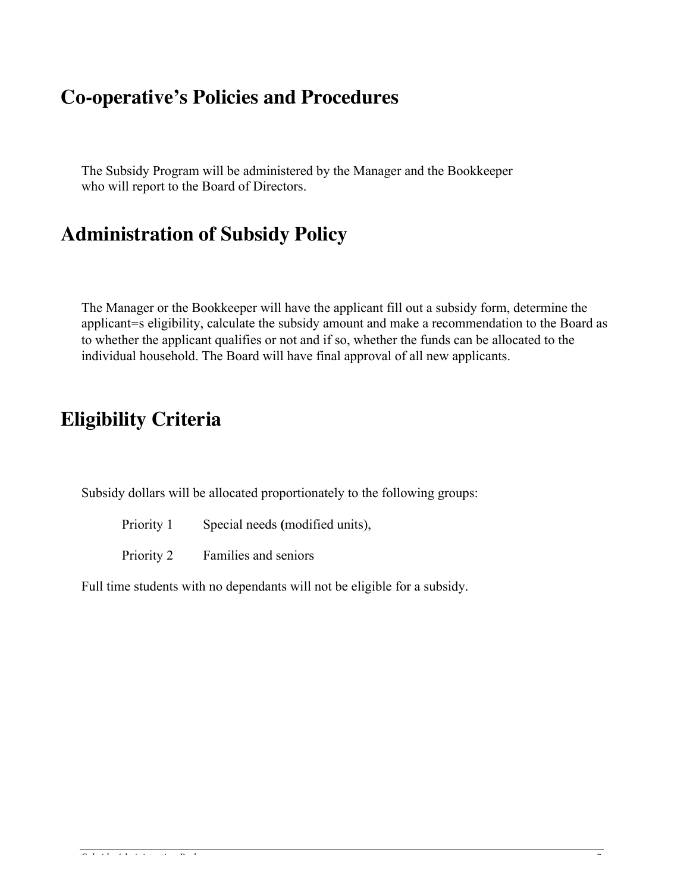### **Co-operative's Policies and Procedures**

The Subsidy Program will be administered by the Manager and the Bookkeeper who will report to the Board of Directors.

### **Administration of Subsidy Policy**

The Manager or the Bookkeeper will have the applicant fill out a subsidy form, determine the applicant=s eligibility, calculate the subsidy amount and make a recommendation to the Board as to whether the applicant qualifies or not and if so, whether the funds can be allocated to the individual household. The Board will have final approval of all new applicants.

### **Eligibility Criteria**

Subsidy dollars will be allocated proportionately to the following groups:

Priority 1 Special needs **(**modified units),

Priority 2 Families and seniors

Full time students with no dependants will not be eligible for a subsidy.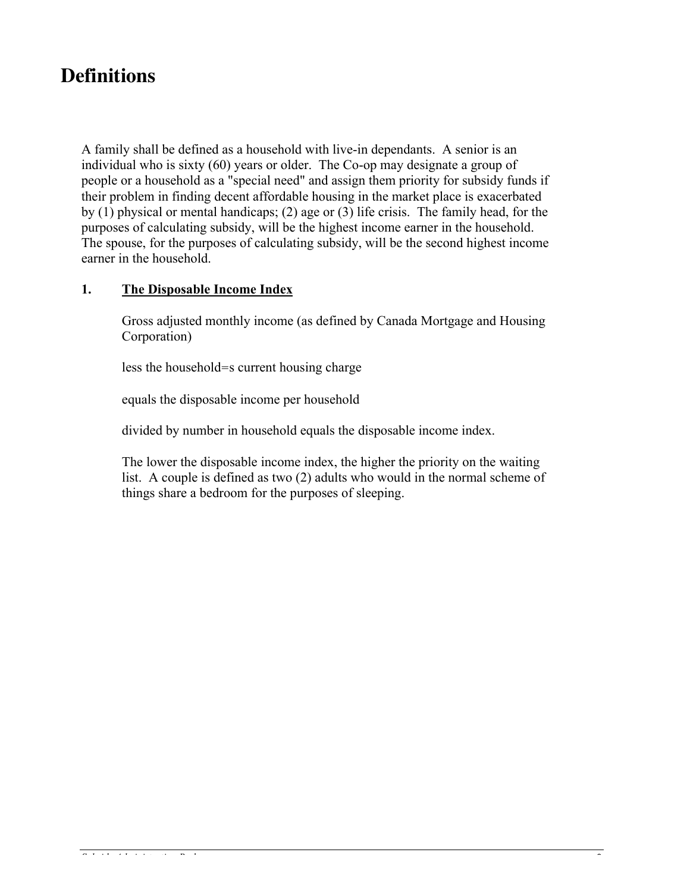### **Definitions**

A family shall be defined as a household with live-in dependants. A senior is an individual who is sixty (60) years or older. The Co-op may designate a group of people or a household as a "special need" and assign them priority for subsidy funds if their problem in finding decent affordable housing in the market place is exacerbated by (1) physical or mental handicaps; (2) age or (3) life crisis. The family head, for the purposes of calculating subsidy, will be the highest income earner in the household. The spouse, for the purposes of calculating subsidy, will be the second highest income earner in the household.

### **1. The Disposable Income Index**

Gross adjusted monthly income (as defined by Canada Mortgage and Housing Corporation)

less the household=s current housing charge

equals the disposable income per household

divided by number in household equals the disposable income index.

The lower the disposable income index, the higher the priority on the waiting list. A couple is defined as two (2) adults who would in the normal scheme of things share a bedroom for the purposes of sleeping.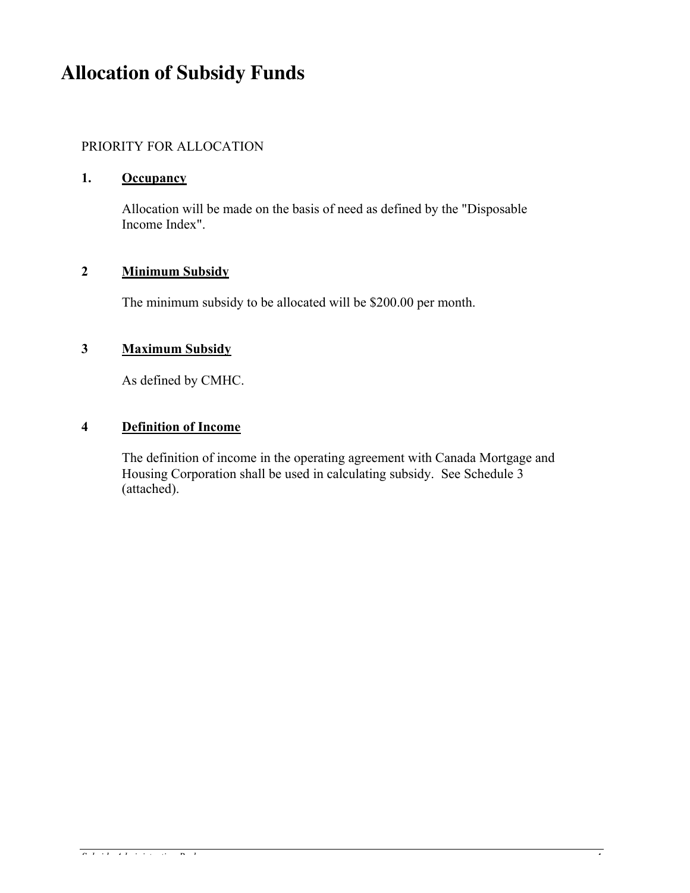### **Allocation of Subsidy Funds**

### PRIORITY FOR ALLOCATION

#### **1. Occupancy**

Allocation will be made on the basis of need as defined by the "Disposable Income Index".

### **2 Minimum Subsidy**

The minimum subsidy to be allocated will be \$200.00 per month.

### **3 Maximum Subsidy**

As defined by CMHC.

### **4 Definition of Income**

The definition of income in the operating agreement with Canada Mortgage and Housing Corporation shall be used in calculating subsidy. See Schedule 3 (attached).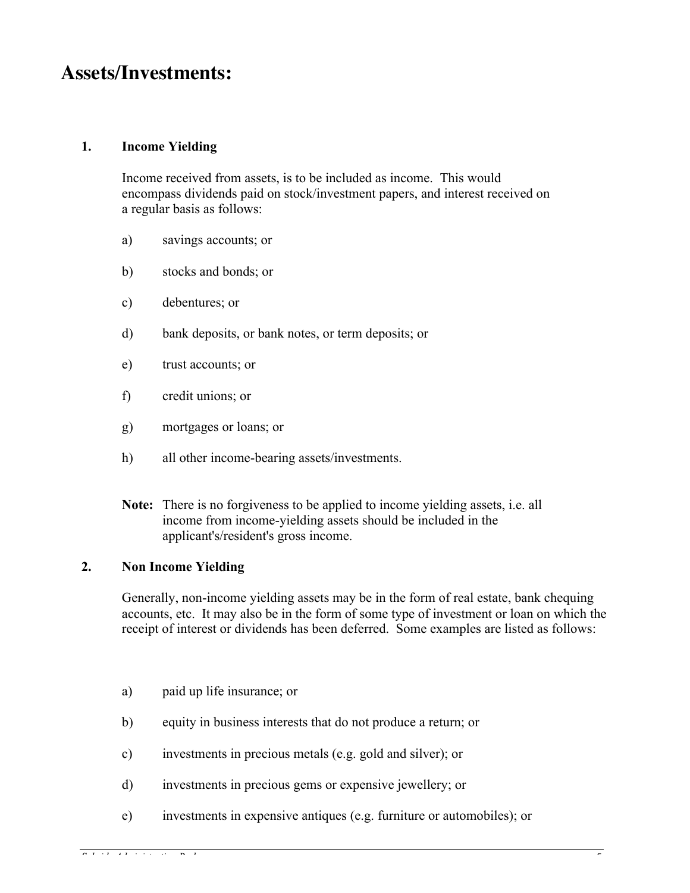### **Assets/Investments:**

### **1. Income Yielding**

Income received from assets, is to be included as income. This would encompass dividends paid on stock/investment papers, and interest received on a regular basis as follows:

- a) savings accounts; or
- b) stocks and bonds; or
- c) debentures; or
- d) bank deposits, or bank notes, or term deposits; or
- e) trust accounts; or
- f) credit unions; or
- g) mortgages or loans; or
- h) all other income-bearing assets/investments.
- **Note:** There is no forgiveness to be applied to income yielding assets, i.e. all income from income-yielding assets should be included in the applicant's/resident's gross income.

### **2. Non Income Yielding**

Generally, non-income yielding assets may be in the form of real estate, bank chequing accounts, etc. It may also be in the form of some type of investment or loan on which the receipt of interest or dividends has been deferred. Some examples are listed as follows:

- a) paid up life insurance; or
- b) equity in business interests that do not produce a return; or
- c) investments in precious metals (e.g. gold and silver); or
- d) investments in precious gems or expensive jewellery; or
- e) investments in expensive antiques (e.g. furniture or automobiles); or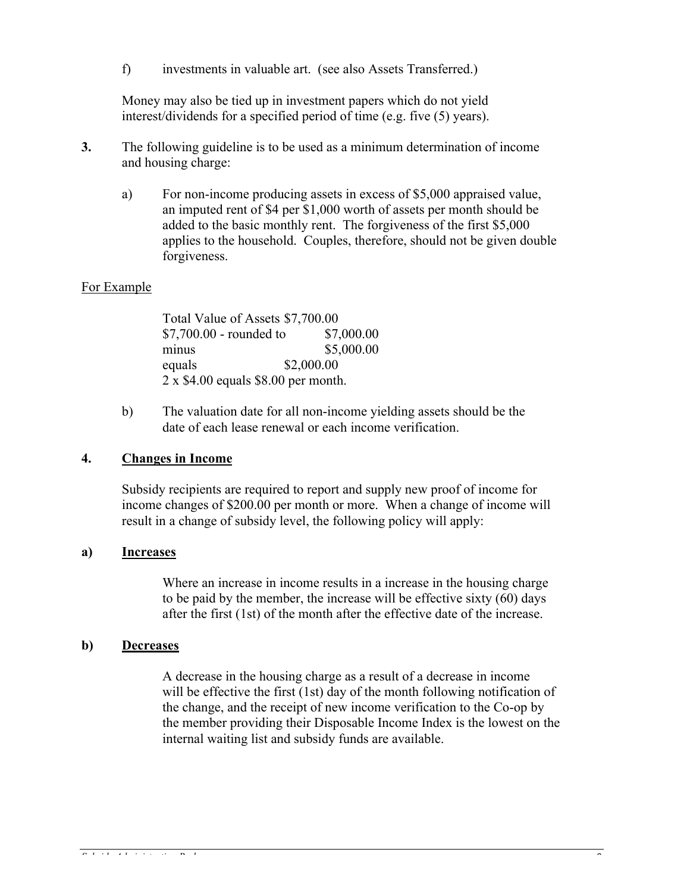f) investments in valuable art. (see also Assets Transferred.)

Money may also be tied up in investment papers which do not yield interest/dividends for a specified period of time (e.g. five (5) years).

- **3.** The following guideline is to be used as a minimum determination of income and housing charge:
	- a) For non-income producing assets in excess of \$5,000 appraised value, an imputed rent of \$4 per \$1,000 worth of assets per month should be added to the basic monthly rent. The forgiveness of the first \$5,000 applies to the household. Couples, therefore, should not be given double forgiveness.

#### For Example

Total Value of Assets \$7,700.00 \$7,700.00 - rounded to \$7,000.00 minus \$5,000.00 equals \$2,000.00 2 x \$4.00 equals \$8.00 per month.

b) The valuation date for all non-income yielding assets should be the date of each lease renewal or each income verification.

#### **4. Changes in Income**

Subsidy recipients are required to report and supply new proof of income for income changes of \$200.00 per month or more. When a change of income will result in a change of subsidy level, the following policy will apply:

### **a) Increases**

Where an increase in income results in a increase in the housing charge to be paid by the member, the increase will be effective sixty (60) days after the first (1st) of the month after the effective date of the increase.

#### **b) Decreases**

A decrease in the housing charge as a result of a decrease in income will be effective the first (1st) day of the month following notification of the change, and the receipt of new income verification to the Co-op by the member providing their Disposable Income Index is the lowest on the internal waiting list and subsidy funds are available.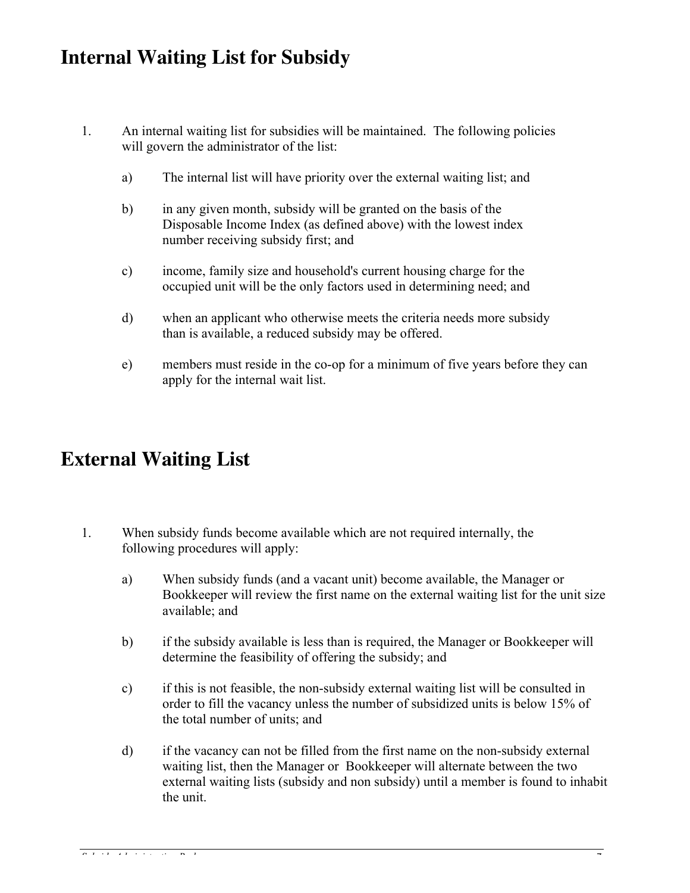### **Internal Waiting List for Subsidy**

- 1. An internal waiting list for subsidies will be maintained. The following policies will govern the administrator of the list:
	- a) The internal list will have priority over the external waiting list; and
	- b) in any given month, subsidy will be granted on the basis of the Disposable Income Index (as defined above) with the lowest index number receiving subsidy first; and
	- c) income, family size and household's current housing charge for the occupied unit will be the only factors used in determining need; and
	- d) when an applicant who otherwise meets the criteria needs more subsidy than is available, a reduced subsidy may be offered.
	- e) members must reside in the co-op for a minimum of five years before they can apply for the internal wait list.

### **External Waiting List**

- 1. When subsidy funds become available which are not required internally, the following procedures will apply:
	- a) When subsidy funds (and a vacant unit) become available, the Manager or Bookkeeper will review the first name on the external waiting list for the unit size available; and
	- b) if the subsidy available is less than is required, the Manager or Bookkeeper will determine the feasibility of offering the subsidy; and
	- c) if this is not feasible, the non-subsidy external waiting list will be consulted in order to fill the vacancy unless the number of subsidized units is below 15% of the total number of units; and
	- d) if the vacancy can not be filled from the first name on the non-subsidy external waiting list, then the Manager or Bookkeeper will alternate between the two external waiting lists (subsidy and non subsidy) until a member is found to inhabit the unit.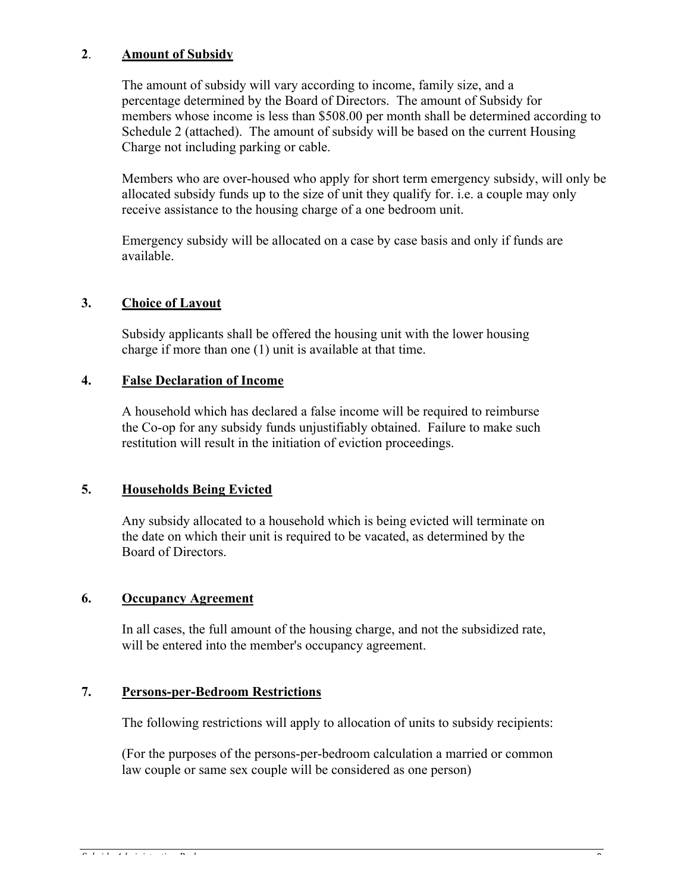### **2**. **Amount of Subsidy**

The amount of subsidy will vary according to income, family size, and a percentage determined by the Board of Directors. The amount of Subsidy for members whose income is less than \$508.00 per month shall be determined according to Schedule 2 (attached). The amount of subsidy will be based on the current Housing Charge not including parking or cable.

Members who are over-housed who apply for short term emergency subsidy, will only be allocated subsidy funds up to the size of unit they qualify for. i.e. a couple may only receive assistance to the housing charge of a one bedroom unit.

Emergency subsidy will be allocated on a case by case basis and only if funds are available.

### **3. Choice of Layout**

Subsidy applicants shall be offered the housing unit with the lower housing charge if more than one (1) unit is available at that time.

### **4. False Declaration of Income**

A household which has declared a false income will be required to reimburse the Co-op for any subsidy funds unjustifiably obtained. Failure to make such restitution will result in the initiation of eviction proceedings.

### **5. Households Being Evicted**

Any subsidy allocated to a household which is being evicted will terminate on the date on which their unit is required to be vacated, as determined by the Board of Directors.

### **6. Occupancy Agreement**

In all cases, the full amount of the housing charge, and not the subsidized rate, will be entered into the member's occupancy agreement.

### **7. Persons-per-Bedroom Restrictions**

The following restrictions will apply to allocation of units to subsidy recipients:

(For the purposes of the persons-per-bedroom calculation a married or common law couple or same sex couple will be considered as one person)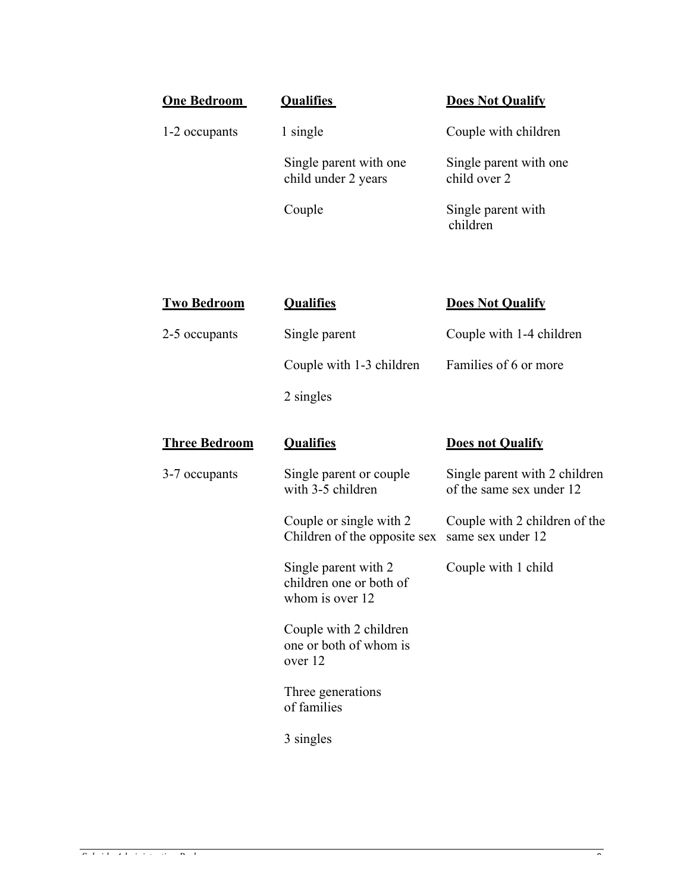| One Bedroom   | <b>Qualifies</b>                              | <b>Does Not Qualify</b>                |
|---------------|-----------------------------------------------|----------------------------------------|
| 1-2 occupants | 1 single                                      | Couple with children                   |
|               | Single parent with one<br>child under 2 years | Single parent with one<br>child over 2 |
|               | Couple                                        | Single parent with<br>children         |

| <b>Two Bedroom</b>   | <b>Qualifies</b>                                                   | <b>Does Not Qualify</b>                                   |
|----------------------|--------------------------------------------------------------------|-----------------------------------------------------------|
| 2-5 occupants        | Single parent                                                      | Couple with 1-4 children                                  |
|                      | Couple with 1-3 children                                           | Families of 6 or more                                     |
|                      | 2 singles                                                          |                                                           |
| <b>Three Bedroom</b> | <b>Qualifies</b>                                                   | <b>Does not Qualify</b>                                   |
| 3-7 occupants        | Single parent or couple<br>with 3-5 children                       | Single parent with 2 children<br>of the same sex under 12 |
|                      | Couple or single with 2<br>Children of the opposite sex            | Couple with 2 children of the<br>same sex under 12        |
|                      | Single parent with 2<br>children one or both of<br>whom is over 12 | Couple with 1 child                                       |
|                      | Couple with 2 children<br>one or both of whom is<br>over 12        |                                                           |
|                      | Three generations<br>of families                                   |                                                           |
|                      |                                                                    |                                                           |

3 singles